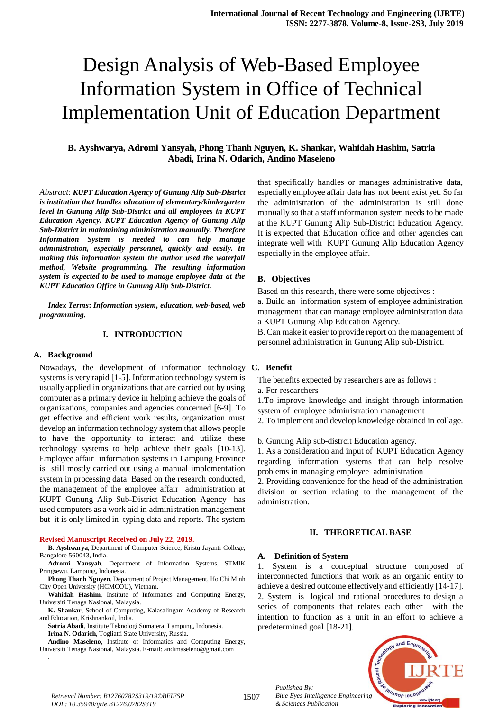# Design Analysis of Web-Based Employee Information System in Office of Technical Implementation Unit of Education Department

## **B. Ayshwarya, Adromi Yansyah, Phong Thanh Nguyen, K. Shankar, Wahidah Hashim, Satria Abadi, Irina N. Odarich, Andino Maseleno**

*Abstract*: *KUPT Education Agency of Gunung Alip Sub-District is institution that handles education of elementary/kindergarten level in Gunung Alip Sub-District and all employees in KUPT Education Agency. KUPT Education Agency of Gunung Alip Sub-District in maintaining administration manually. Therefore Information System is needed to can help manage administration, especially personnel, quickly and easily. In making this information system the author used the waterfall method, Website programming. The resulting information system is expected to be used to manage employee data at the KUPT Education Office in Gunung Alip Sub-District.*

*Index Terms***:** *Information system, education, web-based, web programming.* 

#### **I. INTRODUCTION**

#### **A. Background**

Nowadays, the development of information technology systems is very rapid [1-5]. Information technology system is usually applied in organizations that are carried out by using computer as a primary device in helping achieve the goals of organizations, companies and agencies concerned [6-9]. To get effective and efficient work results, organization must develop an information technology system that allows people to have the opportunity to interact and utilize these technology systems to help achieve their goals [10-13]. Employee affair information systems in Lampung Province is still mostly carried out using a manual implementation system in processing data. Based on the research conducted, the management of the employee affair administration at KUPT Gunung Alip Sub-District Education Agency has used computers as a work aid in administration management but it is only limited in typing data and reports. The system

#### **Revised Manuscript Received on July 22, 2019**.

**B. Ayshwarya**, Department of Computer Science, Kristu Jayanti College, Bangalore-560043, India.

**Adromi Yansyah**, Department of Information Systems, STMIK Pringsewu, Lampung, Indonesia.

**Phong Thanh Nguyen**, Department of Project Management, Ho Chi Minh City Open University (HCMCOU), Vietnam.

**Wahidah Hashim**, Institute of Informatics and Computing Energy, Universiti Tenaga Nasional, Malaysia.

**K. Shankar**, School of Computing, Kalasalingam Academy of Research and Education, Krishnankoil, India.

**Satria Abadi**, Institute Teknologi Sumatera, Lampung, Indonesia.

**Irina N. Odarich,** Togliatti State University, Russia.

**Andino Maseleno**, Institute of Informatics and Computing Energy, Universiti Tenaga Nasional, Malaysia. E-mail[: andimaseleno@gmail.com](mailto:andimaseleno@gmail.com) .

that specifically handles or manages administrative data, especially employee affair data has not beent exist yet. So far the administration of the administration is still done manually so that a staff information system needs to be made at the KUPT Gunung Alip Sub-District Education Agency. It is expected that Education office and other agencies can integrate well with KUPT Gunung Alip Education Agency especially in the employee affair.

#### **B. Objectives**

Based on this research, there were some objectives :

a. Build an information system of employee administration management that can manage employee administration data a KUPT Gunung Alip Education Agency.

B. Can make it easier to provide report on the management of personnel administration in Gunung Alip sub-District.

#### **C. Benefit**

The benefits expected by researchers are as follows :

a. For researchers

1.To improve knowledge and insight through information system of employee administration management

2. To implement and develop knowledge obtained in collage.

b. Gunung Alip sub-distrcit Education agency.

1. As a consideration and input of KUPT Education Agency regarding information systems that can help resolve problems in managing employee administration

2. Providing convenience for the head of the administration division or section relating to the management of the administration.

#### **II. THEORETICAL BASE**

#### **A. Definition of System**

1. System is a conceptual structure composed of interconnected functions that work as an organic entity to achieve a desired outcome effectively and efficiently [14-17]. 2. System is logical and rational procedures to design a series of components that relates each other with the intention to function as a unit in an effort to achieve a predetermined goal [18-21].



*Retrieval Number: B12760782S319/19©BEIESP DOI : 10.35940/ijrte.B1276.0782S319*

*Published By: Blue Eyes Intelligence Engineering & Sciences Publication*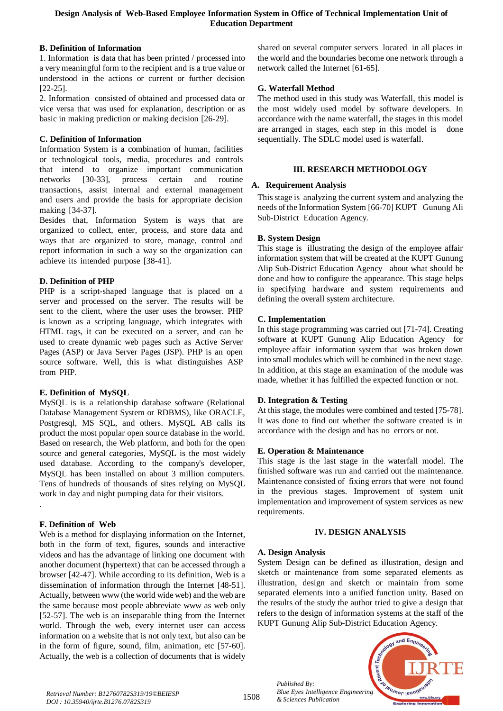#### **B. Definition of Information**

1. Information is data that has been printed / processed into a very meaningful form to the recipient and is a true value or understood in the actions or current or further decision [22-25].

2. Information consisted of obtained and processed data or vice versa that was used for explanation, description or as basic in making prediction or making decision [26-29].

#### **C. Definition of Information**

Information System is a combination of human, facilities or technological tools, media, procedures and controls that intend to organize important communication networks [30-33], process certain and routine transactions, assist internal and external management and users and provide the basis for appropriate decision making [34-37].

Besides that, Information System is ways that are organized to collect, enter, process, and store data and ways that are organized to store, manage, control and report information in such a way so the organization can achieve its intended purpose [38-41].

## **D. Definition of PHP**

PHP is a script-shaped language that is placed on a server and processed on the server. The results will be sent to the client, where the user uses the browser. PHP is known as a scripting language, which integrates with HTML tags, it can be executed on a server, and can be used to create dynamic web pages such as Active Server Pages (ASP) or Java Server Pages (JSP). PHP is an open source software. Well, this is what distinguishes ASP from PHP.

## **E. Definition of MySQL**

MySQL is is a relationship database software (Relational Database Management System or RDBMS), like ORACLE, Postgresql, MS SQL, and others. MySQL AB calls its product the most popular open source database in the world. Based on research, the Web platform, and both for the open source and general categories, MySQL is the most widely used database. According to the company's developer, MySQL has been installed on about 3 million computers. Tens of hundreds of thousands of sites relying on MySQL work in day and night pumping data for their visitors.

## **F. Definition of Web**

.

Web is a method for displaying information on the Internet, both in the form of text, figures, sounds and interactive videos and has the advantage of linking one document with another document (hypertext) that can be accessed through a browser [42-47]. While according to its definition, Web is a dissemination of information through the Internet [48-51]. Actually, between www (the world wide web) and the web are the same because most people abbreviate www as web only [52-57]. The web is an inseparable thing from the Internet world. Through the web, every internet user can access information on a website that is not only text, but also can be in the form of figure, sound, film, animation, etc [57-60]. Actually, the web is a collection of documents that is widely

shared on several computer servers located in all places in the world and the boundaries become one network through a network called the Internet [61-65].

## **G. Waterfall Method**

The method used in this study was Waterfall, this model is the most widely used model by software developers. In accordance with the name waterfall, the stages in this model are arranged in stages, each step in this model is done sequentially. The SDLC model used is waterfall.

## **III. RESEARCH METHODOLOGY**

#### **A. Requirement Analysis**

This stage is analyzing the current system and analyzing the needs of the Information System [66-70] KUPT Gunung Ali Sub-District Education Agency.

#### **B. System Design**

This stage is illustrating the design of the employee affair information system that will be created at the KUPT Gunung Alip Sub-District Education Agency about what should be done and how to configure the appearance. This stage helps in specifying hardware and system requirements and defining the overall system architecture.

#### **C. Implementation**

In this stage programming was carried out [71-74]. Creating software at KUPT Gunung Alip Education Agency for employee affair information system that was broken down into small modules which will be combined in the next stage. In addition, at this stage an examination of the module was made, whether it has fulfilled the expected function or not.

## **D. Integration & Testing**

At this stage, the modules were combined and tested [75-78]. It was done to find out whether the software created is in accordance with the design and has no errors or not.

## **E. Operation & Maintenance**

This stage is the last stage in the waterfall model. The finished software was run and carried out the maintenance. Maintenance consisted of fixing errors that were not found in the previous stages. Improvement of system unit implementation and improvement of system services as new requirements.

#### **IV. DESIGN ANALYSIS**

## **A. Design Analysis**

System Design can be defined as illustration, design and sketch or maintenance from some separated elements as illustration, design and sketch or maintain from some separated elements into a unified function unity. Based on the results of the study the author tried to give a design that refers to the design of information systems at the staff of the KUPT Gunung Alip Sub-District Education Agency.



*Retrieval Number: B12760782S319/19©BEIESP DOI : 10.35940/ijrte.B1276.0782S319*

*Published By: Blue Eyes Intelligence Engineering & Sciences Publication*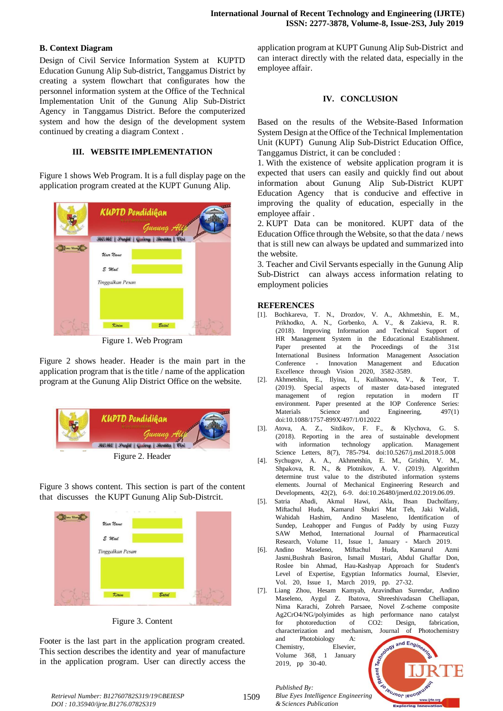#### **B. Context Diagram**

Design of Civil Service Information System at KUPTD Education Gunung Alip Sub-district, Tanggamus District by creating a system flowchart that configurates how the personnel information system at the Office of the Technical Implementation Unit of the Gunung Alip Sub-District Agency in Tanggamus District. Before the computerized system and how the design of the development system continued by creating a diagram Context .

## **III. WEBSITE IMPLEMENTATION**

Figure 1 shows Web Program. It is a full display page on the application program created at the KUPT Gunung Alip.



Figure 1. Web Program

Figure 2 shows header. Header is the main part in the application program that is the title / name of the application program at the Gunung Alip District Office on the website.



Figure 3 shows content. This section is part of the content that discusses the KUPT Gunung Alip Sub-Distrcit.



Figure 3. Content

Footer is the last part in the application program created. This section describes the identity and year of manufacture in the application program. User can directly access the application program at KUPT Gunung Alip Sub-District and can interact directly with the related data, especially in the employee affair.

#### **IV. CONCLUSION**

Based on the results of the Website-Based Information System Design at the Office of the Technical Implementation Unit (KUPT) Gunung Alip Sub-District Education Office, Tanggamus District, it can be concluded :

1. With the existence of website application program it is expected that users can easily and quickly find out about information about Gunung Alip Sub-District KUPT Education Agency that is conducive and effective in improving the quality of education, especially in the employee affair .

2. KUPT Data can be monitored. KUPT data of the Education Office through the Website, so that the data / news that is still new can always be updated and summarized into the website.

3. Teacher and Civil Servants especially in the Gunung Alip Sub-District can always access information relating to employment policies

#### **REFERENCES**

- [1]. Bochkareva, T. N., Drozdov, V. A., Akhmetshin, E. M., Prikhodko, A. N., Gorbenko, A. V., & Zakieva, R. R. (2018). Improving Information and Technical Support of HR Management System in the Educational Establishment. Paper presented at the Proceedings of the 31st International Business Information Management Association Conference - Innovation Management and Education Excellence through Vision 2020, 3582-3589.
- [2]. Akhmetshin, E., Ilyina, I., Kulibanova, V., & Teor, T. (2019). Special aspects of master data-based integrated management of region reputation in modern IT environment. Paper presented at the IOP Conference Series: Materials Science and Engineering, 497(1) doi:10.1088/1757-899X/497/1/012022
- [3]. Atova, A. Z., Sitdikov, F. F., & Klychova, G. S.  $(2018)$ . Reporting in the area of sustainable development with information technology application. Management Science Letters, 8(7), 785-794. doi:10.5267/j.msl.2018.5.008
- [4]. Sychugov, A. A., Akhmetshin, E. M., Grishin, V. M., Shpakova, R. N., & Plotnikov, A. V. (2019). Algorithm determine trust value to the distributed information systems elements. Journal of Mechanical Engineering Research and Developments, 42(2), 6-9. doi:10.26480/jmerd.02.2019.06.09.
- [5]. Satria Abadi, Akmal Hawi, Akla, Ihsan Dacholfany, Miftachul Huda, Kamarul Shukri Mat Teh, Jaki Walidi, Wahidah Hashim, Andino Maseleno, Identification of Sundep, Leahopper and Fungus of Paddy by using Fuzzy SAW Method, International Journal of Pharmaceutical Research, Volume 11, Issue 1, January - March 2019.
- [6]. Andino Maseleno, Miftachul Huda, Kamarul Azmi Jasmi,Bushrah Basiron, Ismail Mustari, Abdul Ghaffar Don, Roslee bin Ahmad, Hau-Kashyap Approach for Student's Level of Expertise, Egyptian Informatics Journal, Elsevier, Vol. 20, Issue 1, March 2019, pp. 27-32.

[7]. Liang Zhou, Hesam Kamyab, Aravindhan Surendar, Andino Maseleno, Aygul Z. Ibatova, Shreeshivadasan Chelliapan, Nima Karachi, Zohreh Parsaee, Novel Z-scheme composite Ag2CrO4/NG/polyimides as high performance nano catalyst for photoreduction of CO2: Design, fabrication,

and Photobiology A: Chemistry, Elsevier, Volume 368, 1 January 2019, pp 30-40.

*Published By:*

*& Sciences Publication* 

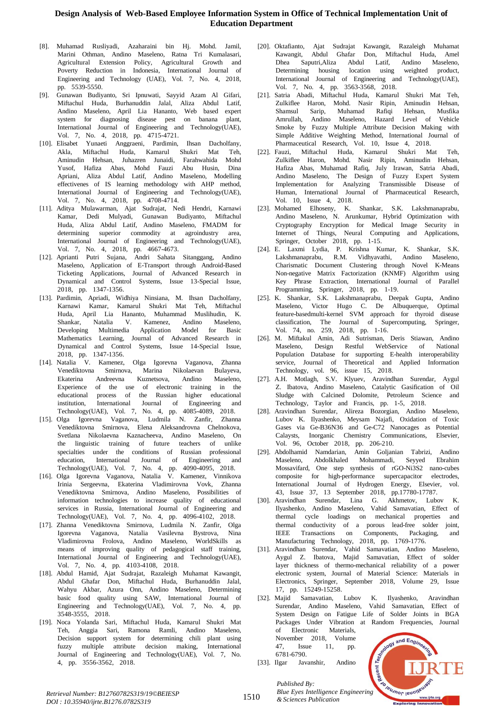#### **Design Analysis of Web-Based Employee Information System in Office of Technical Implementation Unit of Education Department**

- [8]. Muhamad Rusliyadi, Azaharaini bin Hj. Mohd. Jamil, Marini Othman, Andino Maseleno, Ratna Tri Kumalasari, Agricultural Extension Policy, Agricultural Growth and Poverty Reduction in Indonesia, International Journal of Engineering and Technology (UAE), Vol. 7, No. 4, 2018, pp. 5539-5550.
- [9]. Gunawan Budiyanto, Sri Ipnuwati, Sayyid Azam Al Gifari, Miftachul Huda, Burhanuddin Jalal, Aliza Abdul Latif, Andino Maseleno, April Lia Hananto, Web based expert system for diagnosing disease pest on banana plant, International Journal of Engineering and Technology(UAE), Vol. 7, No. 4, 2018, pp. 4715-4721.
- [10]. Elisabet Yunaeti Anggraeni, Pardimin, Ihsan Dacholfany, Akla, Miftachul Huda, Kamarul Shukri Mat Teh, Aminudin Hehsan, Juhazren Junaidi, Farahwahida Mohd Yusof, Hafiza Abas, Mohd Fauzi Abu Husin, Dina Apriani, Aliza Abdul Latif, Andino Maseleno, Modelling effectivenes of IS learning methodology with AHP method, International Journal of Engineering and Technology(UAE), Vol. 7, No. 4, 2018, pp. 4708-4714.
- [11]. Aditya Mulawarman, Ajat Sudrajat, Nedi Hendri, Karnawi Kamar, Dedi Mulyadi, Gunawan Budiyanto, Miftachul Huda, Aliza Abdul Latif, Andino Maseleno, FMADM for determining superior commodity at agroindustry area, International Journal of Engineering and Technology(UAE), Vol. 7, No. 4, 2018, pp. 4667-4673.
- [12]. Aprianti Putri Sujana, Andri Sahata Sitanggang, Andino Maseleno, Application of E-Transport through Android-Based Ticketing Applications, Journal of Advanced Research in Dynamical and Control Systems, Issue 13-Special Issue, 2018, pp. 1347-1356.
- [13]. Pardimin, Apriadi, Widhiya Ninsiana, M. Ihsan Dacholfany, Karnawi Kamar, Kamarul Shukri Mat Teh, Miftachul Huda, April Lia Hananto, Muhammad Muslihudin, K. Shankar, Natalia V. Kamenez, Andino Maseleno, Developing Multimedia Application Model for Basic Mathematics Learning, Journal of Advanced Research in Dynamical and Control Systems, Issue 14-Special Issue, 2018, pp. 1347-1356.
- [14]. Natalia V. Kamenez, Olga Igorevna Vaganova, Zhanna Venediktovna Smirnova, Marina Nikolaevan Bulayeva, Ekaterina Andreevna Kuznetsova, Andino Maseleno, Experience of the use of electronic training in the educational process of the Russian higher educational institution, International Journal of Engineering and Technology(UAE), Vol. 7, No. 4, pp. 4085-4089, 2018.
- [15]. Olga Igorevna Vaganova, Ludmila N. Zanfir, Zhanna Venediktovna Smirnova, Elena Aleksandrovna Chelnokova, Svetlana Nikolaevna Kaznacheeva, Andino Maseleno, On the linguistic training of future teachers of unlike specialties under the conditions of Russian professional education, International Journal of Engineering and Technology(UAE), Vol. 7, No. 4, pp. 4090-4095, 2018.
- [16]. Olga Igorevna Vaganova, Natalia V. Kamenez, Vinnikova Irinia Sergeevna, Ekaterina Vladimirovna Vovk, Zhanna Venediktovna Smirnova, Andino Maseleno, Possibilities of information technologies to increase quality of educational services in Russia, International Journal of Engineering and Technology(UAE), Vol. 7, No. 4, pp. 4096-4102, 2018.
- [17]. Zhanna Venediktovna Smirnova, Ludmila N. Zanfir, Olga Igorevna Vaganova, Natalia Vasilevna Bystrova, Nina Vladimirovna Frolova, Andino Maseleno, WorldSkills as means of improving quality of pedagogical staff training, International Journal of Engineering and Technology(UAE), Vol. 7, No. 4, pp. 4103-4108, 2018.
- [18]. Abdul Hamid, Ajat Sudrajat, Razaleigh Muhamat Kawangit, Abdul Ghafar Don, Miftachul Huda, Burhanuddin Jalal, Wahyu Akbar, Azura Onn, Andino Maseleno, Determining basic food quality using SAW, International Journal of Engineering and Technology(UAE), Vol. 7, No. 4, pp. 3548-3555, 2018.
- [19]. Noca Yolanda Sari, Miftachul Huda, Kamarul Shukri Mat Teh, Anggia Sari, Ramona Ramli, Andino Maseleno, Decision support system for determining chili plant using fuzzy multiple attribute decision making, International Journal of Engineering and Technology(UAE), Vol. 7, No. 4, pp. 3556-3562, 2018.
- [20]. Oktafianto, Ajat Sudrajat Kawangit, Razaleigh Muhamat Kawangit, Abdul Ghafar Don, Miftachul Huda, Amel Dhea Saputri,Aliza Abdul Latif, Andino Maseleno, Determining housing location using weighted product, International Journal of Engineering and Technology(UAE), Vol. 7, No. 4, pp. 3563-3568, 2018.
- [21]. Satria Abadi, Miftachul Huda, Kamarul Shukri Mat Teh, Zulkiflee Haron, Mohd. Nasir Ripin, Aminudin Hehsan, Shamsul Sarip, Muhamad Rafiqi Hehsan, Musfika Amrullah, Andino Maseleno, Hazard Level of Vehicle Smoke by Fuzzy Multiple Attribute Decision Making with Simple Additive Weighting Method, International Journal of Pharmaceutical Research, Vol. 10, Issue 4, 2018.
- [22]. Fauzi, Miftachul Huda, Kamarul Shukri Mat Teh, Zulkiflee Haron, Mohd. Nasir Ripin, Aminudin Hehsan, Hafiza Abas, Muhamad Rafiq, July Irawan, Satria Abadi, Andino Maseleno, The Design of Fuzzy Expert System Implementation for Analyzing Transmissible Disease of Human, International Journal of Pharmaceutical Research, Vol. 10, Issue 4, 2018.
- [23]. Mohamed Elhoseny, K. Shankar, S.K. Lakshmanaprabu, Andino Maseleno, N. Arunkumar, Hybrid Optimization with Cryptography Encryption for Medical Image Security in Internet of Things, Neural Computing and Applications, Springer, October 2018, pp. 1-15.
- [24]. E. Laxmi Lydia, P. Krishna Kumar, K. Shankar, S.K. Lakshmanaprabu, R.M. Vidhyavathi, Andino Maseleno, Charismatic Document Clustering through Novel K-Means Non-negative Matrix Factorization (KNMF) Algorithm using Key Phrase Extraction, International Journal of Parallel Programming, Springer, 2018, pp. 1-19.
- [25]. K. Shankar, S.K. Lakshmanaprabu, Deepak Gupta, Andino Maseleno, Victor Hugo C. De Albuquerque, Optimal feature-based<br>multi-kernel  $\text{SVM}$  approach for thyroid disease classification, The Journal of Supercomputing, Springer, Vol. 74, no. 259, 2018, pp. 1-16.
- [26]. M. Miftakul Amin, Adi Sutrisman, Deris Stiawan, Andino Maseleno, Design Restful WebService of National Population Database for supporting E-health interoperability service, Journal of Theoretical and Applied Information Technology, vol. 96, issue  $15$ , 2018.
- [27]. A.H. Motlagh, S.V. Klyuev, Aravindhan Surendar, Aygul Z. Ibatova, Andino Maseleno, Catalytic Gasification of Oil Sludge with Calcined Dolomite, Petroleum Science and Technology, Taylor and Francis, pp. 1-5, 2018.
- [28]. Aravindhan Surendar, Alireza Bozorgian, Andino Maseleno, Lubov K. Ilyashenko, Meysam Najafi, Oxidation of Toxic Gases via Ge-B36N36 and Ge-C72 Nanocages as Potential Calaysts, Inorganic Chemistry Communications, Elsevier, Vol. 96, October 2018, pp. 206-210.
- [29]. Abdolhamid Namdarian, Amin Goljanian Tabrizi, Andino Maseleno, Abdolkhaled Mohammadi, Seyyed Ebrahim Mossavifard, One step synthesis of rGO-Ni3S2 nano-cubes composite for high-performance supercapacitor electrodes, International Journal of Hydrogen Energy, Elsevier, vol. 43, Issue 37, 13 September 2018, pp.17780-17787.
- [30]. Aravindhan Surendar, Lina G. Akhmetov, Lubov K. Ilyashenko, Andino Maseleno, Vahid Samavatian, Effect of thermal cycle loadings on mechanical properties and thermal conductivity of a porous lead-free solder joint, IEEE Transactions on Components, Packaging, Manufacturing Technology, 2018, pp. 1769-1776.
- [31]. Aravindhan Surendar, Vahid Samavatian, Andino Maseleno, Aygul Z. Ibatova, Majid Samavatian, Effect of solder layer thickness of thermo-mechanical reliability of a power electronic system, Journal of Material Science: Materials in Electronics, Springer, September 2018, Volume 29, Issue 17, pp. 15249-15258.
- [32]. Majid Samavatian, Lubov K. Ilyashenko, Aravindhan Surendar, Andino Maseleno, Vahid Samavatian, Effect of System Design on Fatigue Life of Solder Joints in BGA Packages Under Vibration at Random Frequencies, Journal<br>of Electronic Materials,<br>November 2018, Volume<br>47, Issue 11, pp.<br>6781-6790.<br>Ilgar Javanobic of Electronic Materials, November 2018, Volume 47, Issue 11, pp.
- 6781-6790. [33]. Ilgar Javanshir, Andino

*& Sciences Publication* 

*Published By:*



*Retrieval Number: B12760782S319/19©BEIESP DOI : 10.35940/ijrte.B1276.0782S319*

1510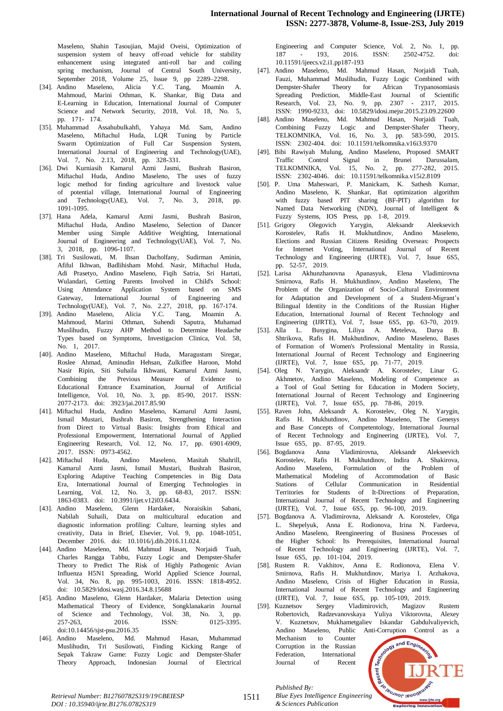Maseleno, Shahin Tasoujian, Majid Oveisi, Optimization of suspension system of heavy off-road vehicle for stability enhancement using integrated anti-roll bar and coiling spring mechanism, Journal of Central South University, September 2018, Volume 25, Issue 9, pp 2289–2298.

- [34]. Andino Maseleno, Alicia Y.C. Tang, Moamin A. Mahmoud, Marini Othman, K. Shankar, Big Data and E-Learning in Education, International Journal of Computer Science and Network Security, 2018, Vol. 18, No. 5, pp. 171- 174.
- [35]. Muhammad Assahubulkahfi, Yahaya Md. Sam, Andino Maseleno, Miftachul Huda, LQR Tuning by Particle Swarm Optimization of Full Car Suspension System, International Journal of Engineering and Technology(UAE), Vol. 7, No. 2.13, 2018, pp. 328-331.
- [36]. Dwi Kurniasih Kamarul Azmi Jasmi, Bushrah Basiron, Miftachul Huda, Andino Maseleno, The uses of fuzzy logic method for finding agriculture and livestock value of potential village. International Journal of Engineering and Technology(UAE), Vol. 7, No. 3, 2018, pp. 1091-1095.T
- [37]. Hana Adela, Kamarul Azmi Jasmi, Bushrah Basiron, Miftachul Huda, Andino Maseleno, Selection of Dancer Member using Simple Additive Weighting, International Journal of Engineering and Technology(UAE), Vol. 7, No. 3, 2018, pp. 1096-1107.
- [38]. Tri Susilowati, M. Ihsan Dacholfany, Sudirman Aminin, Afiful Ikhwan, Badlihisham Mohd. Nasir, Miftachul Huda, Adi Prasetyo, Andino Maseleno, Fiqih Satria, Sri Hartati, Wulandari, Getting Parents Involved in Child's School: Using Attendance Application System based on SMS Gateway, International Journal of Engineering and Technology(UAE), Vol. 7, No. 2.27, 2018, pp. 167-174.
- [39]. Andino Maseleno, Alicia Y.C. Tang, Moamin A. Mahmoud, Marini Othman, Suhendi Saputra, Muhamad Muslihudin, Fuzzy AHP Method to Determine Headache Types based on Symptoms, Investigacion Clinica, Vol. 58,  $\overline{N}$  1, 2017.
- [40]. Andino Maseleno, Miftachul Huda, Maragustam Siregar, Roslee Ahmad, Aminudin Hehsan, Zulkiflee Haroon, Mohd Nasir Ripin, Siti Suhaila Ikhwani, Kamarul Azmi Jasmi, Combining the Previous Measure of Evidence to Educational Entrance Examination, Journal of Artificial Intelligence, Vol. 10, No. 3, pp. 85-90, 2017. ISSN: 2077-2173. doi: 3923/jai.2017.85.90
- [41]. Miftachul Huda, Andino Maseleno, Kamarul Azmi Jasmi, Ismail Mustari, Bushrah Basiron, Strengthening Interaction from Direct to Virtual Basis: Insights from Ethical and Professional Empowerment, International Journal of Applied Engineering Research, Vol. 12, No. 17, pp. 6901-6909, 2017. ISSN: 0973-4562.
- [42]. Miftachul Huda, Andino Maseleno, Masitah Shahrill, Kamarul Azmi Jasmi, Ismail Mustari, Bushrah Basiron, Exploring Adaptive Teaching Competencies in Big Data Era, International Journal of Emerging Technologies in Learning, Vol. 12, No. 3, pp. 68-83, 2017. ISSN: 1863-0383. doi: 10.3991/ijet.v12i03.6434.
- [43]. Andino Maseleno, Glenn Hardaker, Noraisikin Sabani, Nabilah Suhaili, Data on multicultural education and diagnostic information profiling: Culture, learning styles and creativity, Data in Brief, Elsevier, Vol. 9, pp. 1048-1051, December 2016. doi: 10.1016/j.dib.2016.11.024.
- [44]. Andino Maseleno, Md. Mahmud Hasan, Norjaidi Tuah, Charles Rangga Tabbu, Fuzzy Logic and Dempster-Shafer Theory to Predict The Risk of Highly Pathogenic Avian Influenza H5N1 Spreading, World Applied Science Journal, Vol. 34, No. 8, pp. 995-1003, 2016. ISSN: 1818-4952. doi: 10.5829/idosi.wasj.2016.34.8.15688
- [45]. Andino Maseleno, Glenn Hardaker, Malaria Detection using Mathematical Theory of Evidence, Songklanakarin Journal of Science and Technology, Vol. 38, No. 3, pp. 257-263, 2016. ISSN: 0125-3395. doi:10.14456/sjst-psu.2016.35
- [46]. Andino Maseleno, Md. Mahmud Hasan, Muhammad Muslihudin, Tri Susilowati, Finding Kicking Range of Sepak Takraw Game: Fuzzy Logic and Dempster-Shafer Theory Approach, Indonesian Journal of Electrical

Engineering and Computer Science, Vol. 2, No. 1, pp. 187 - 193, 2016. ISSN: 2502-4752. doi: 10.11591/ijeecs.v2.i1.pp187-193

- [47]. Andino Maseleno, Md. Mahmud Hasan, Norjaidi Tuah, Fauzi, Muhammad Muslihudin, Fuzzy Logic Combined with Dempster-Shafer Theory for African Trypanosomiasis Spreading Prediction, Middle-East Journal of Scientific Research, Vol. 23, No. 9, pp. 2307 - 2317, 2015. ISSN: 1990-9233, doi: 10.5829/idosi.mejsr.2015.23.09.22600
- [48]. Andino Maseleno, Md. Mahmud Hasan, Norjaidi Tuah, Combining Fuzzy Logic and Dempster-Shafer Theory, TELKOMNIKA, Vol. 16, No. 3, pp. 583-590, 2015. ISSN: 2302-404. doi: 10.11591/telkomnika.v16i3.9370
- [49]. Bibi Rawiyah Mulung, Andino Maseleno, Proposed SMART Traffic Control Signal in Brunei Darussalam, TELKOMNIKA, Vol. 15, No. 2, pp. 277-282, 2015. ISSN: 2302-4046. doi: 10.11591/telkomnika.v15i2.8109
- [50]. P. Uma Maheswari, P. Manickam, K. Sathesh Kumar, Andino Maseleno, K. Shankar, Bat optimization algorithm with fuzzy based PIT sharing (BF-PIT) algorithm for Named Data Networking (NDN), Journal of Intelligent & Fuzzy Systems, IOS Press, pp. 1-8, 2019.
- [51]. Grigory Olegovich Yarygin, Aleksandr Aleeksevich Korostelev, Rafis H. Mukhutdinov, Andino Maseleno, Elections and Russian Citizens Residing Overseas: Prospects for Internet Voting, International Journal of Recent Technology and Engineering (IJRTE), Vol. 7, Issue 6S5, pp.  $52-57$ , 2019.
- [52]. Larisa Akhunzhanovna Apanasyuk, Elena Vladimirovna Smirnova, Rafis H. Mukhutdinov, Andino Maseleno, The Problem of the Organization of Socio-Cultural Environment for Adaptation and Development of a Student-Migrant's Bilingual Identity in the Conditions of the Russian Higher Education, International Journal of Recent Technology and Engineering (IJRTE), Vol. 7, Issue  $6S5$ , pp.  $63-70$ , 2019.
- [53]. Alla L. Busygina, Liliya A. Meteleva, Darya B. Shtrikova, Rafis H. Mukhutdinov, Andino Maseleno, Bases of Formation of Women's Professional Mentality in Russia, International Journal of Recent Technology and Engineering (IJRTE), Vol. 7, Issue 6S5, pp. 71-77, 2019.
- [54]. Oleg N. Yarygin, Aleksandr A. Korostelev, Linar G. Akhmetov, Andino Maseleno, Modeling of Competence as a Tool of Goal Setting for Education in Modern Society, International Journal of Recent Technology and Engineering (IJRTE), Vol. 7, Issue 6S5, pp. 78-86, 2019.
- [55]. Raven John, Aleksandr A. Korostelev, Oleg N. Yarygin, Rafis H. Mukhutdinov, Andino Maseleno, The Genesys and Base Concepts of Competentology, International Journal of Recent Technology and Engineering (IJRTE), Vol. 7, Issue 6S5, pp. 87-95, 2019.
- [56]. Bogdanova Anna Vladimirovna, Aleksandr Alekseevich Korostelev, Rafis H. Mukhutdinov, Indira A. Shakirova, Andino Maseleno, Formulation of the Problem of Mathematical Modeling of Accommodation of Basic Stations of Cellular Communication in Residential Territories for Students of It-Directions of Preparation, International Journal of Recent Technology and Engineering (IJRTE), Vol. 7, Issue 6S5, pp. 96-100, 2019.
- [57]. Bogdanova A. Vladimirovna, Aleksandr A. Korostelev, Olga L. Shepelyuk, Anna E. Rodionova, Irina N. Fardeeva, Andino Maseleno, Reengineering of Business Processes of the Higher School: Its Prerequisites, International Journal of Recent Technology and Engineering (IJRTE), Vol. 7, Issue 6S5, pp. 101-104, 2019.
- [58]. Rustem R. Vakhitov, Anna E. Rodionova, Elena V. Smirnova, Rafis H. Mukhutdinov, Mariya I. Arzhakova, Andino Maseleno, Crisis of Higher Education in Russia, International Journal of Recent Technology and Engineering (IJRTE), Vol. 7, Issue  $6S5$ , pp.  $105-109$ , 2019.

[59]. Kuznetsov Sergey Vladimirovich, Magizov Rustem Robertovich, Radzevanovskaya Yuliya Viktorovna, Alexey V. Kuznetsov, Mukhametgaliev Iskandar Gabdulvaliyevich, Andino Maseleno, Public Anti-Corruption Control as a

Mechanism to Counter Corruption in the Russian Federation, International Journal of Recent



*Retrieval Number: B12760782S319/19©BEIESP DOI : 10.35940/ijrte.B1276.0782S319*

1511

*Published By: & Sciences Publication*